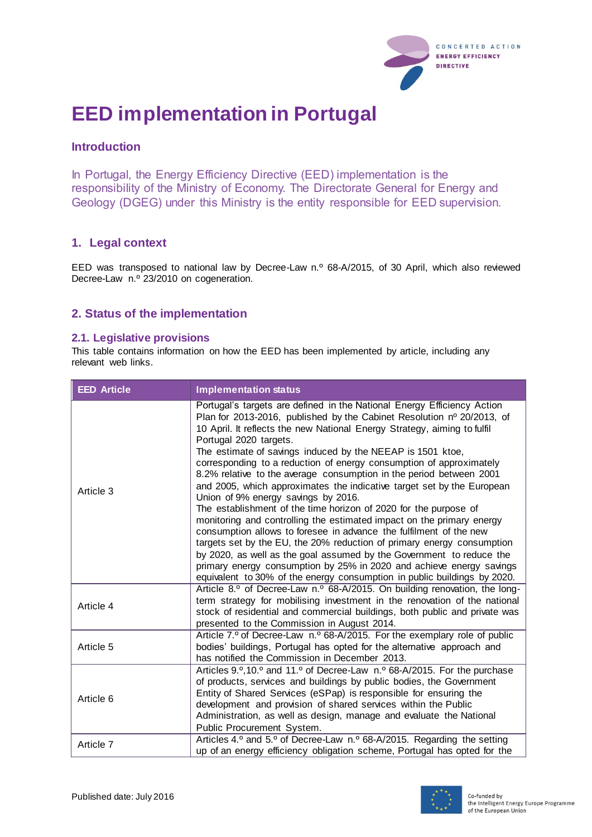

# **EED implementation in Portugal**

# **Introduction**

In Portugal, the Energy Efficiency Directive (EED) implementation is the responsibility of the Ministry of Economy. The Directorate General for Energy and Geology (DGEG) under this Ministry is the entity responsible for EED supervision.

# **1. Legal context**

EED was transposed to national law by Decree-Law n.º 68-A/2015, of 30 April, which also reviewed Decree-Law n.º 23/2010 on cogeneration.

## **2. Status of the implementation**

#### **2.1. Legislative provisions**

This table contains information on how the EED has been implemented by article, including any relevant web links.

| <b>EED Article</b> | <b>Implementation status</b>                                                                                                                                                                                                                                                                                                                                                                                                                                                                                                                                                                                                                                                                                                                                                                                                                                                                                                                                                                                                                                                                                  |
|--------------------|---------------------------------------------------------------------------------------------------------------------------------------------------------------------------------------------------------------------------------------------------------------------------------------------------------------------------------------------------------------------------------------------------------------------------------------------------------------------------------------------------------------------------------------------------------------------------------------------------------------------------------------------------------------------------------------------------------------------------------------------------------------------------------------------------------------------------------------------------------------------------------------------------------------------------------------------------------------------------------------------------------------------------------------------------------------------------------------------------------------|
| Article 3          | Portugal's targets are defined in the National Energy Efficiency Action<br>Plan for 2013-2016, published by the Cabinet Resolution nº 20/2013, of<br>10 April. It reflects the new National Energy Strategy, aiming to fulfil<br>Portugal 2020 targets.<br>The estimate of savings induced by the NEEAP is 1501 ktoe,<br>corresponding to a reduction of energy consumption of approximately<br>8.2% relative to the average consumption in the period between 2001<br>and 2005, which approximates the indicative target set by the European<br>Union of 9% energy savings by 2016.<br>The establishment of the time horizon of 2020 for the purpose of<br>monitoring and controlling the estimated impact on the primary energy<br>consumption allows to foresee in advance the fulfilment of the new<br>targets set by the EU, the 20% reduction of primary energy consumption<br>by 2020, as well as the goal assumed by the Government to reduce the<br>primary energy consumption by 25% in 2020 and achieve energy savings<br>equivalent to 30% of the energy consumption in public buildings by 2020. |
| Article 4          | Article 8.º of Decree-Law n.º 68-A/2015. On building renovation, the long-<br>term strategy for mobilising investment in the renovation of the national<br>stock of residential and commercial buildings, both public and private was<br>presented to the Commission in August 2014.                                                                                                                                                                                                                                                                                                                                                                                                                                                                                                                                                                                                                                                                                                                                                                                                                          |
| Article 5          | Article 7.º of Decree-Law n.º 68-A/2015. For the exemplary role of public<br>bodies' buildings, Portugal has opted for the alternative approach and<br>has notified the Commission in December 2013.                                                                                                                                                                                                                                                                                                                                                                                                                                                                                                                                                                                                                                                                                                                                                                                                                                                                                                          |
| Article 6          | Articles 9.º, 10.º and 11.º of Decree-Law n.º 68-A/2015. For the purchase<br>of products, services and buildings by public bodies, the Government<br>Entity of Shared Services (eSPap) is responsible for ensuring the<br>development and provision of shared services within the Public<br>Administration, as well as design, manage and evaluate the National<br>Public Procurement System.                                                                                                                                                                                                                                                                                                                                                                                                                                                                                                                                                                                                                                                                                                                 |
| Article 7          | Articles 4.º and 5.º of Decree-Law n.º 68-A/2015. Regarding the setting<br>up of an energy efficiency obligation scheme, Portugal has opted for the                                                                                                                                                                                                                                                                                                                                                                                                                                                                                                                                                                                                                                                                                                                                                                                                                                                                                                                                                           |

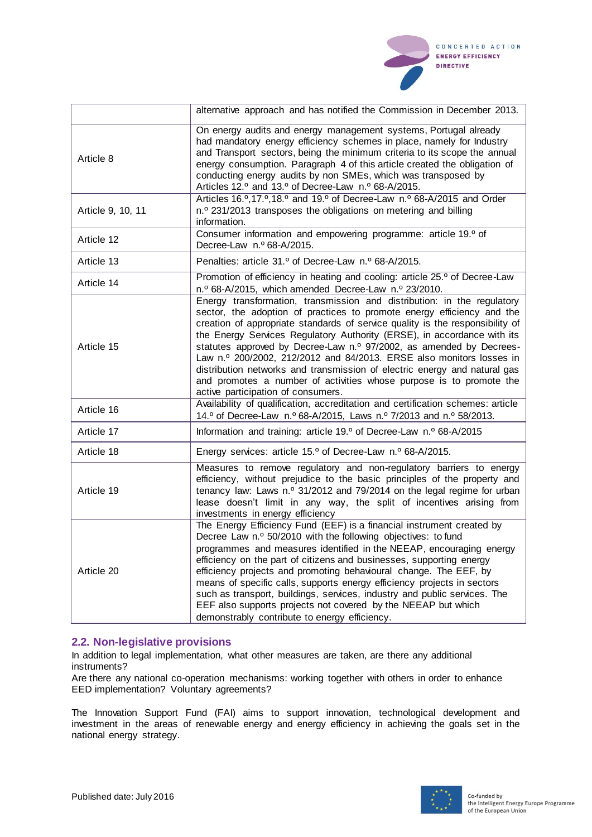

|                   | alternative approach and has notified the Commission in December 2013.                                                                                                                                                                                                                                                                                                                                                                                                                                                                                                                                                                                 |
|-------------------|--------------------------------------------------------------------------------------------------------------------------------------------------------------------------------------------------------------------------------------------------------------------------------------------------------------------------------------------------------------------------------------------------------------------------------------------------------------------------------------------------------------------------------------------------------------------------------------------------------------------------------------------------------|
| Article 8         | On energy audits and energy management systems, Portugal already<br>had mandatory energy efficiency schemes in place, namely for Industry<br>and Transport sectors, being the minimum criteria to its scope the annual<br>energy consumption. Paragraph 4 of this article created the obligation of<br>conducting energy audits by non SMEs, which was transposed by<br>Articles 12.º and 13.º of Decree-Law n.º 68-A/2015.                                                                                                                                                                                                                            |
| Article 9, 10, 11 | Articles 16.º, 17.º, 18.º and 19.º of Decree-Law n.º 68-A/2015 and Order<br>n. <sup>o</sup> 231/2013 transposes the obligations on metering and billing<br>information.                                                                                                                                                                                                                                                                                                                                                                                                                                                                                |
| Article 12        | Consumer information and empowering programme: article 19.º of<br>Decree-Law n.º 68-A/2015.                                                                                                                                                                                                                                                                                                                                                                                                                                                                                                                                                            |
| Article 13        | Penalties: article 31.º of Decree-Law n.º 68-A/2015.                                                                                                                                                                                                                                                                                                                                                                                                                                                                                                                                                                                                   |
| Article 14        | Promotion of efficiency in heating and cooling: article 25.º of Decree-Law<br>n.º 68-A/2015, which amended Decree-Law n.º 23/2010.                                                                                                                                                                                                                                                                                                                                                                                                                                                                                                                     |
| Article 15        | Energy transformation, transmission and distribution: in the regulatory<br>sector, the adoption of practices to promote energy efficiency and the<br>creation of appropriate standards of service quality is the responsibility of<br>the Energy Services Regulatory Authority (ERSE), in accordance with its<br>statutes approved by Decree-Law n.º 97/2002, as amended by Decrees-<br>Law n.º 200/2002, 212/2012 and 84/2013. ERSE also monitors losses in<br>distribution networks and transmission of electric energy and natural gas<br>and promotes a number of activities whose purpose is to promote the<br>active participation of consumers. |
| Article 16        | Availability of qualification, accreditation and certification schemes: article<br>14.º of Decree-Law n.º 68-A/2015, Laws n.º 7/2013 and n.º 58/2013.                                                                                                                                                                                                                                                                                                                                                                                                                                                                                                  |
| Article 17        | Information and training: article 19.º of Decree-Law n.º 68-A/2015                                                                                                                                                                                                                                                                                                                                                                                                                                                                                                                                                                                     |
| Article 18        | Energy services: article 15.º of Decree-Law n.º 68-A/2015.                                                                                                                                                                                                                                                                                                                                                                                                                                                                                                                                                                                             |
| Article 19        | Measures to remove regulatory and non-regulatory barriers to energy<br>efficiency, without prejudice to the basic principles of the property and<br>tenancy law: Laws n.º 31/2012 and 79/2014 on the legal regime for urban<br>lease doesn't limit in any way, the split of incentives arising from<br>investments in energy efficiency                                                                                                                                                                                                                                                                                                                |
| Article 20        | The Energy Efficiency Fund (EEF) is a financial instrument created by<br>Decree Law n.º 50/2010 with the following objectives: to fund<br>programmes and measures identified in the NEEAP, encouraging energy<br>efficiency on the part of citizens and businesses, supporting energy<br>efficiency projects and promoting behavioural change. The EEF, by<br>means of specific calls, supports energy efficiency projects in sectors<br>such as transport, buildings, services, industry and public services. The<br>EEF also supports projects not covered by the NEEAP but which<br>demonstrably contribute to energy efficiency.                   |

#### **2.2. Non-legislative provisions**

In addition to legal implementation, what other measures are taken, are there any additional instruments?

Are there any national co-operation mechanisms: working together with others in order to enhance EED implementation? Voluntary agreements?

The Innovation Support Fund (FAI) aims to support innovation, technological development and investment in the areas of renewable energy and energy efficiency in achieving the goals set in the national energy strategy.